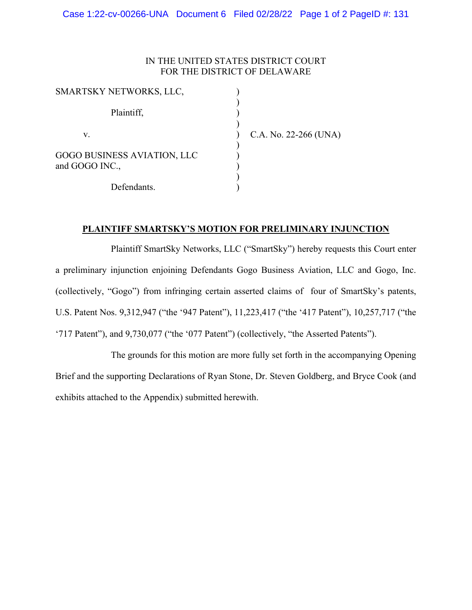## IN THE UNITED STATES DISTRICT COURT FOR THE DISTRICT OF DELAWARE

| SMARTSKY NETWORKS, LLC,                       |                       |
|-----------------------------------------------|-----------------------|
| Plaintiff,                                    |                       |
| v.                                            | C.A. No. 22-266 (UNA) |
| GOGO BUSINESS AVIATION, LLC<br>and GOGO INC., |                       |
| Defendants.                                   |                       |

## **PLAINTIFF SMARTSKY'S MOTION FOR PRELIMINARY INJUNCTION**

Plaintiff SmartSky Networks, LLC ("SmartSky") hereby requests this Court enter a preliminary injunction enjoining Defendants Gogo Business Aviation, LLC and Gogo, Inc. (collectively, "Gogo") from infringing certain asserted claims of four of SmartSky's patents, U.S. Patent Nos. 9,312,947 ("the '947 Patent"), 11,223,417 ("the '417 Patent"), 10,257,717 ("the '717 Patent"), and 9,730,077 ("the '077 Patent") (collectively, "the Asserted Patents").

The grounds for this motion are more fully set forth in the accompanying Opening Brief and the supporting Declarations of Ryan Stone, Dr. Steven Goldberg, and Bryce Cook (and exhibits attached to the Appendix) submitted herewith.